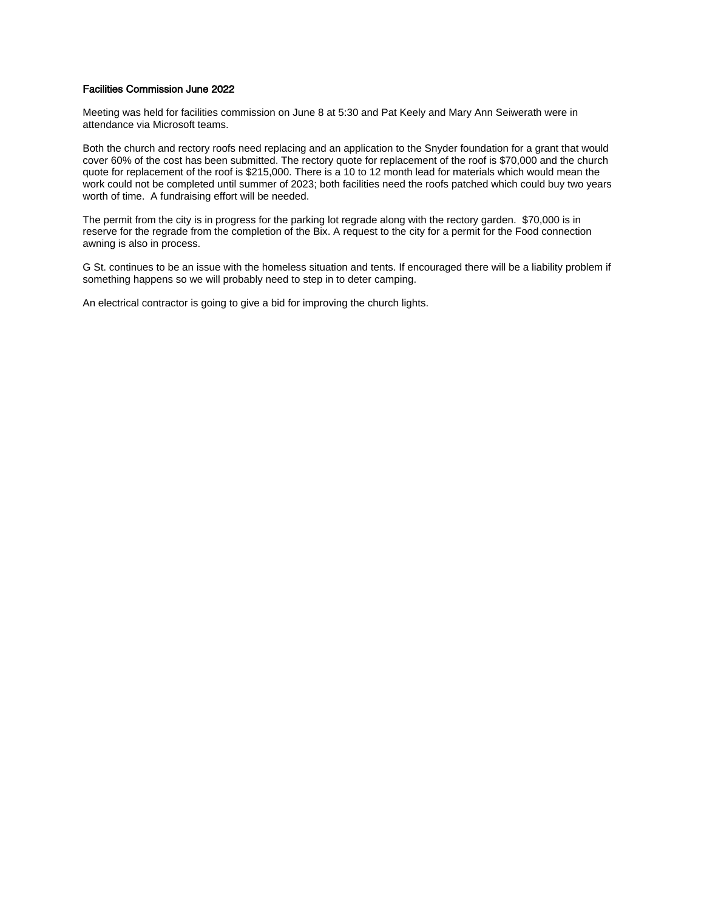#### Facilities Commission June 2022

Meeting was held for facilities commission on June 8 at 5:30 and Pat Keely and Mary Ann Seiwerath were in attendance via Microsoft teams.

Both the church and rectory roofs need replacing and an application to the Snyder foundation for a grant that would cover 60% of the cost has been submitted. The rectory quote for replacement of the roof is \$70,000 and the church quote for replacement of the roof is \$215,000. There is a 10 to 12 month lead for materials which would mean the work could not be completed until summer of 2023; both facilities need the roofs patched which could buy two years worth of time. A fundraising effort will be needed.

The permit from the city is in progress for the parking lot regrade along with the rectory garden. \$70,000 is in reserve for the regrade from the completion of the Bix. A request to the city for a permit for the Food connection awning is also in process.

G St. continues to be an issue with the homeless situation and tents. If encouraged there will be a liability problem if something happens so we will probably need to step in to deter camping.

An electrical contractor is going to give a bid for improving the church lights.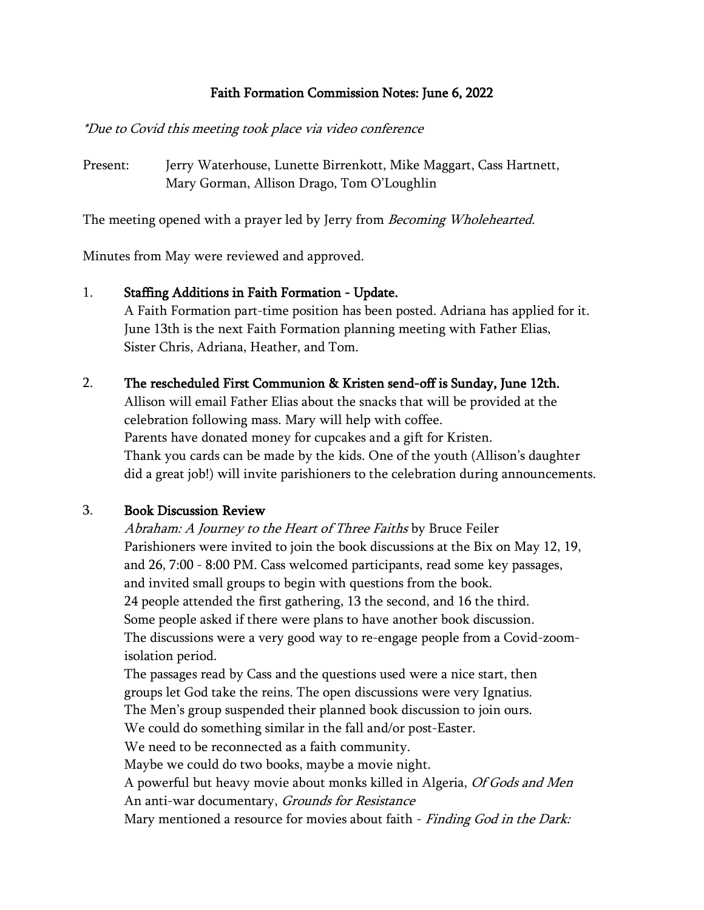### Faith Formation Commission Notes: June 6, 2022

#### \*Due to Covid this meeting took place via video conference

Present: Jerry Waterhouse, Lunette Birrenkott, Mike Maggart, Cass Hartnett, Mary Gorman, Allison Drago, Tom O'Loughlin

The meeting opened with a prayer led by Jerry from *Becoming Wholehearted*.

Minutes from May were reviewed and approved.

- 1. Staffing Additions in Faith Formation Update. A Faith Formation part-time position has been posted. Adriana has applied for it. June 13th is the next Faith Formation planning meeting with Father Elias, Sister Chris, Adriana, Heather, and Tom.
- 2. The rescheduled First Communion & Kristen send-off is Sunday, June 12th.

Allison will email Father Elias about the snacks that will be provided at the celebration following mass. Mary will help with coffee. Parents have donated money for cupcakes and a gift for Kristen. Thank you cards can be made by the kids. One of the youth (Allison's daughter did a great job!) will invite parishioners to the celebration during announcements.

### 3. Book Discussion Review

Abraham: A Journey to the Heart of Three Faiths by Bruce Feiler Parishioners were invited to join the book discussions at the Bix on May 12, 19, and 26, 7:00 - 8:00 PM. Cass welcomed participants, read some key passages, and invited small groups to begin with questions from the book. 24 people attended the first gathering, 13 the second, and 16 the third. Some people asked if there were plans to have another book discussion. The discussions were a very good way to re-engage people from a Covid-zoomisolation period.

The passages read by Cass and the questions used were a nice start, then groups let God take the reins. The open discussions were very Ignatius. The Men's group suspended their planned book discussion to join ours. We could do something similar in the fall and/or post-Easter. We need to be reconnected as a faith community. Maybe we could do two books, maybe a movie night. A powerful but heavy movie about monks killed in Algeria, Of Gods and Men An anti-war documentary, *Grounds for Resistance* Mary mentioned a resource for movies about faith - *Finding God in the Dark:*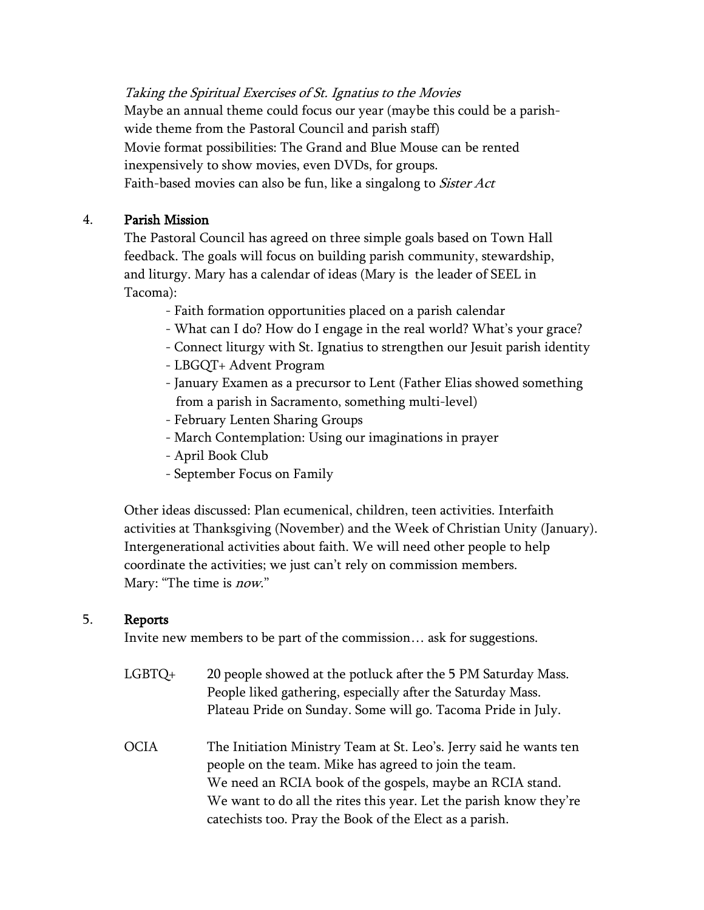Taking the Spiritual Exercises of St. Ignatius to the Movies Maybe an annual theme could focus our year (maybe this could be a parishwide theme from the Pastoral Council and parish staff) Movie format possibilities: The Grand and Blue Mouse can be rented inexpensively to show movies, even DVDs, for groups. Faith-based movies can also be fun, like a singalong to *Sister Act* 

## 4. Parish Mission

The Pastoral Council has agreed on three simple goals based on Town Hall feedback. The goals will focus on building parish community, stewardship, and liturgy. Mary has a calendar of ideas (Mary is the leader of SEEL in Tacoma):

- Faith formation opportunities placed on a parish calendar
- What can I do? How do I engage in the real world? What's your grace?
- Connect liturgy with St. Ignatius to strengthen our Jesuit parish identity
- LBGQT+ Advent Program
- January Examen as a precursor to Lent (Father Elias showed something from a parish in Sacramento, something multi-level)
- February Lenten Sharing Groups
- March Contemplation: Using our imaginations in prayer
- April Book Club
- September Focus on Family

Other ideas discussed: Plan ecumenical, children, teen activities. Interfaith activities at Thanksgiving (November) and the Week of Christian Unity (January). Intergenerational activities about faith. We will need other people to help coordinate the activities; we just can't rely on commission members. Mary: "The time is *now*."

### 5. Reports

Invite new members to be part of the commission… ask for suggestions.

| LGBTQ+ | 20 people showed at the potluck after the 5 PM Saturday Mass. |
|--------|---------------------------------------------------------------|
|        | People liked gathering, especially after the Saturday Mass.   |
|        | Plateau Pride on Sunday. Some will go. Tacoma Pride in July.  |

OCIA The Initiation Ministry Team at St. Leo's. Jerry said he wants ten people on the team. Mike has agreed to join the team. We need an RCIA book of the gospels, maybe an RCIA stand. We want to do all the rites this year. Let the parish know they're catechists too. Pray the Book of the Elect as a parish.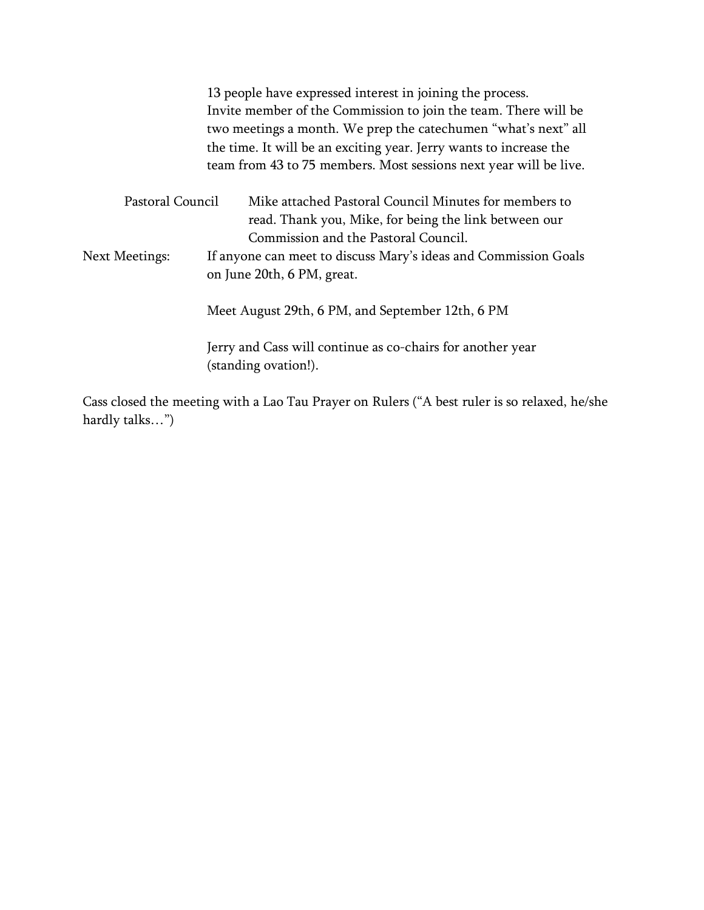|                  | 13 people have expressed interest in joining the process.                                                      |
|------------------|----------------------------------------------------------------------------------------------------------------|
|                  | Invite member of the Commission to join the team. There will be                                                |
|                  | two meetings a month. We prep the catechumen "what's next" all                                                 |
|                  | the time. It will be an exciting year. Jerry wants to increase the                                             |
|                  | team from 43 to 75 members. Most sessions next year will be live.                                              |
| Pastoral Council | Mike attached Pastoral Council Minutes for members to<br>read. Thank you, Mike, for being the link between our |
|                  | Commission and the Pastoral Council.                                                                           |
| Next Meetings:   | If anyone can meet to discuss Mary's ideas and Commission Goals<br>on June 20th, 6 PM, great.                  |
|                  | Meet August 29th, 6 PM, and September 12th, 6 PM                                                               |
|                  | Jerry and Cass will continue as co-chairs for another year<br>(standing ovation!).                             |

Cass closed the meeting with a Lao Tau Prayer on Rulers ("A best ruler is so relaxed, he/she hardly talks…")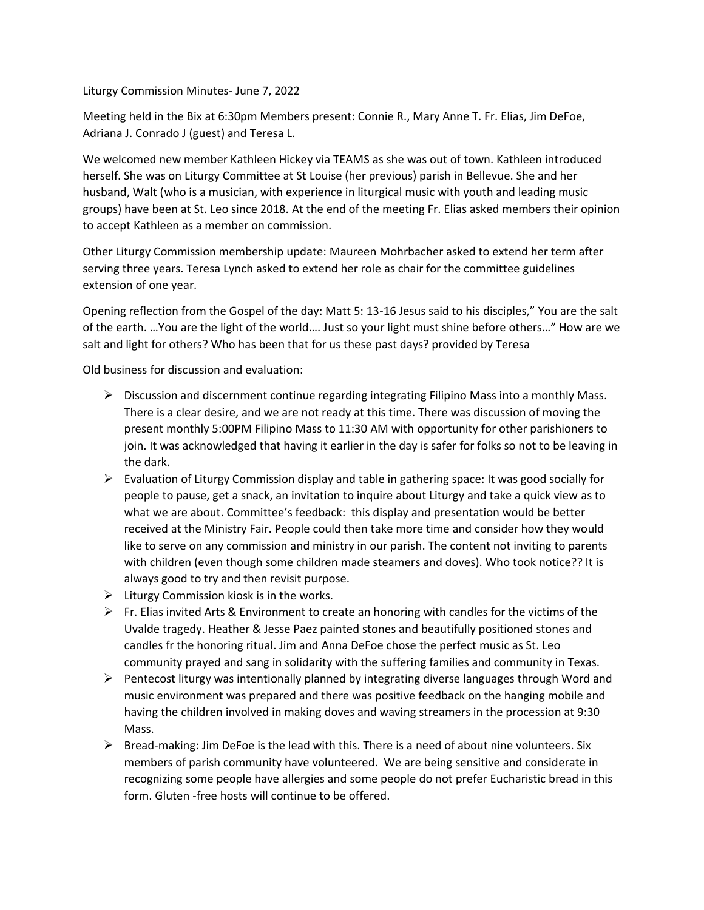Liturgy Commission Minutes- June 7, 2022

Meeting held in the Bix at 6:30pm Members present: Connie R., Mary Anne T. Fr. Elias, Jim DeFoe, Adriana J. Conrado J (guest) and Teresa L.

We welcomed new member Kathleen Hickey via TEAMS as she was out of town. Kathleen introduced herself. She was on Liturgy Committee at St Louise (her previous) parish in Bellevue. She and her husband, Walt (who is a musician, with experience in liturgical music with youth and leading music groups) have been at St. Leo since 2018. At the end of the meeting Fr. Elias asked members their opinion to accept Kathleen as a member on commission.

Other Liturgy Commission membership update: Maureen Mohrbacher asked to extend her term after serving three years. Teresa Lynch asked to extend her role as chair for the committee guidelines extension of one year.

Opening reflection from the Gospel of the day: Matt 5: 13-16 Jesus said to his disciples," You are the salt of the earth. …You are the light of the world…. Just so your light must shine before others…" How are we salt and light for others? Who has been that for us these past days? provided by Teresa

Old business for discussion and evaluation:

- ➢ Discussion and discernment continue regarding integrating Filipino Mass into a monthly Mass. There is a clear desire, and we are not ready at this time. There was discussion of moving the present monthly 5:00PM Filipino Mass to 11:30 AM with opportunity for other parishioners to join. It was acknowledged that having it earlier in the day is safer for folks so not to be leaving in the dark.
- ➢ Evaluation of Liturgy Commission display and table in gathering space: It was good socially for people to pause, get a snack, an invitation to inquire about Liturgy and take a quick view as to what we are about. Committee's feedback: this display and presentation would be better received at the Ministry Fair. People could then take more time and consider how they would like to serve on any commission and ministry in our parish. The content not inviting to parents with children (even though some children made steamers and doves). Who took notice?? It is always good to try and then revisit purpose.
- $\triangleright$  Liturgy Commission kiosk is in the works.
- $\triangleright$  Fr. Elias invited Arts & Environment to create an honoring with candles for the victims of the Uvalde tragedy. Heather & Jesse Paez painted stones and beautifully positioned stones and candles fr the honoring ritual. Jim and Anna DeFoe chose the perfect music as St. Leo community prayed and sang in solidarity with the suffering families and community in Texas.
- $\triangleright$  Pentecost liturgy was intentionally planned by integrating diverse languages through Word and music environment was prepared and there was positive feedback on the hanging mobile and having the children involved in making doves and waving streamers in the procession at 9:30 Mass.
- $\triangleright$  Bread-making: Jim DeFoe is the lead with this. There is a need of about nine volunteers. Six members of parish community have volunteered. We are being sensitive and considerate in recognizing some people have allergies and some people do not prefer Eucharistic bread in this form. Gluten -free hosts will continue to be offered.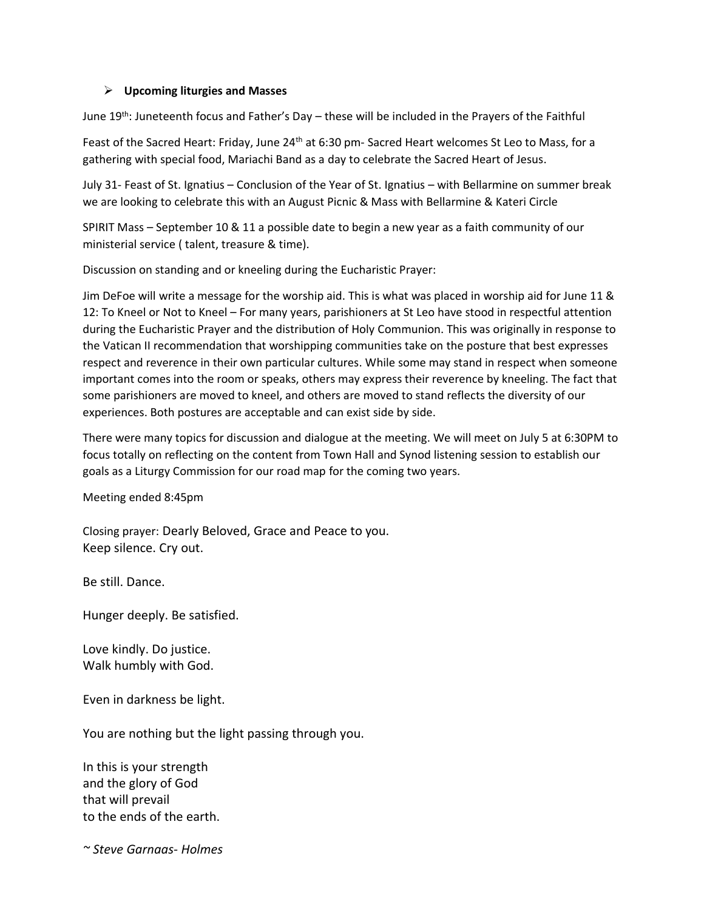#### ➢ **Upcoming liturgies and Masses**

June 19<sup>th</sup>: Juneteenth focus and Father's Day - these will be included in the Prayers of the Faithful

Feast of the Sacred Heart: Friday, June 24<sup>th</sup> at 6:30 pm- Sacred Heart welcomes St Leo to Mass, for a gathering with special food, Mariachi Band as a day to celebrate the Sacred Heart of Jesus.

July 31- Feast of St. Ignatius – Conclusion of the Year of St. Ignatius – with Bellarmine on summer break we are looking to celebrate this with an August Picnic & Mass with Bellarmine & Kateri Circle

SPIRIT Mass – September 10 & 11 a possible date to begin a new year as a faith community of our ministerial service ( talent, treasure & time).

Discussion on standing and or kneeling during the Eucharistic Prayer:

Jim DeFoe will write a message for the worship aid. This is what was placed in worship aid for June 11 & 12: To Kneel or Not to Kneel – For many years, parishioners at St Leo have stood in respectful attention during the Eucharistic Prayer and the distribution of Holy Communion. This was originally in response to the Vatican II recommendation that worshipping communities take on the posture that best expresses respect and reverence in their own particular cultures. While some may stand in respect when someone important comes into the room or speaks, others may express their reverence by kneeling. The fact that some parishioners are moved to kneel, and others are moved to stand reflects the diversity of our experiences. Both postures are acceptable and can exist side by side.

There were many topics for discussion and dialogue at the meeting. We will meet on July 5 at 6:30PM to focus totally on reflecting on the content from Town Hall and Synod listening session to establish our goals as a Liturgy Commission for our road map for the coming two years.

Meeting ended 8:45pm

Closing prayer: Dearly Beloved, Grace and Peace to you. Keep silence. Cry out.

Be still. Dance.

Hunger deeply. Be satisfied.

Love kindly. Do justice. Walk humbly with God.

Even in darkness be light.

You are nothing but the light passing through you.

In this is your strength and the glory of God that will prevail to the ends of the earth.

*~ Steve Garnaas- Holmes*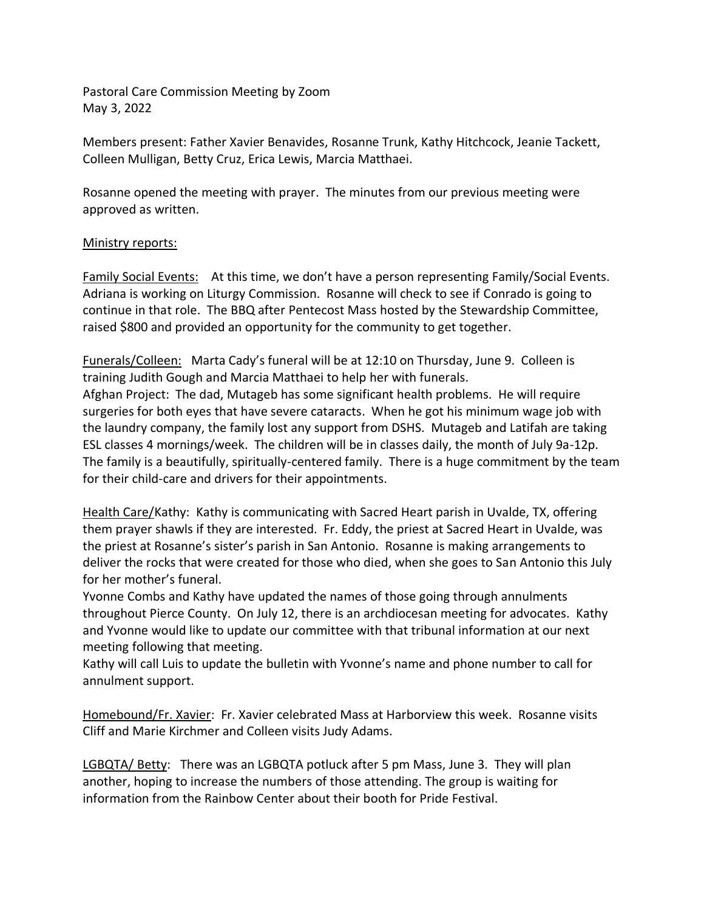Pastoral Care Commission Meeting by Zoom May 3, 2022

for their child-care and drivers for their appointments.

Members present: Father Xavier Benavides, Rosanne Trunk, Kathy Hitchcock, Jeanie Tackett, Colleen Mulligan, Betty Cruz, Erica Lewis, Marcia Matthaei.

Rosanne opened the meeting with prayer. The minutes from our previous meeting were approved as written.

#### Ministry reports:

Family Social Events: At this time, we don't have a person representing Family/Social Events. Adriana is working on Liturgy Commission. Rosanne will check to see if Conrado is going to continue in that role. The BBQ after Pentecost Mass hosted by the Stewardship Committee, raised \$800 and provided an opportunity for the community to get together.

Funerals/Colleen: Marta Cady's funeral will be at 12:10 on Thursday, June 9. Colleen is training Judith Gough and Marcia Matthaei to help her with funerals. Afghan Project: The dad, Mutageb has some significant health problems. He will require surgeries for both eyes that have severe cataracts. When he got his minimum wage job with the laundry company, the family lost any support from DSHS. Mutageb and Latifah are taking ESL classes 4 mornings/week. The children will be in classes daily, the month of July 9a-12p. The family is a beautifully, spiritually-centered family. There is a huge commitment by the team

Health Care/Kathy: Kathy is communicating with Sacred Heart parish in Uvalde, TX, offering them prayer shawls if they are interested. Fr. Eddy, the priest at Sacred Heart in Uvalde, was the priest at Rosanne's sister's parish in San Antonio. Rosanne is making arrangements to deliver the rocks that were created for those who died, when she goes to San Antonio this July for her mother's funeral.

Yvonne Combs and Kathy have updated the names of those going through annulments throughout Pierce County. On July 12, there is an archdiocesan meeting for advocates. Kathy and Yvonne would like to update our committee with that tribunal information at our next meeting following that meeting.

Kathy will call Luis to update the bulletin with Yvonne's name and phone number to call for annulment support.

Homebound/Fr. Xavier: Fr. Xavier celebrated Mass at Harborview this week. Rosanne visits Cliff and Marie Kirchmer and Colleen visits Judy Adams.

LGBQTA/ Betty: There was an LGBQTA potluck after 5 pm Mass, June 3. They will plan another, hoping to increase the numbers of those attending. The group is waiting for information from the Rainbow Center about their booth for Pride Festival.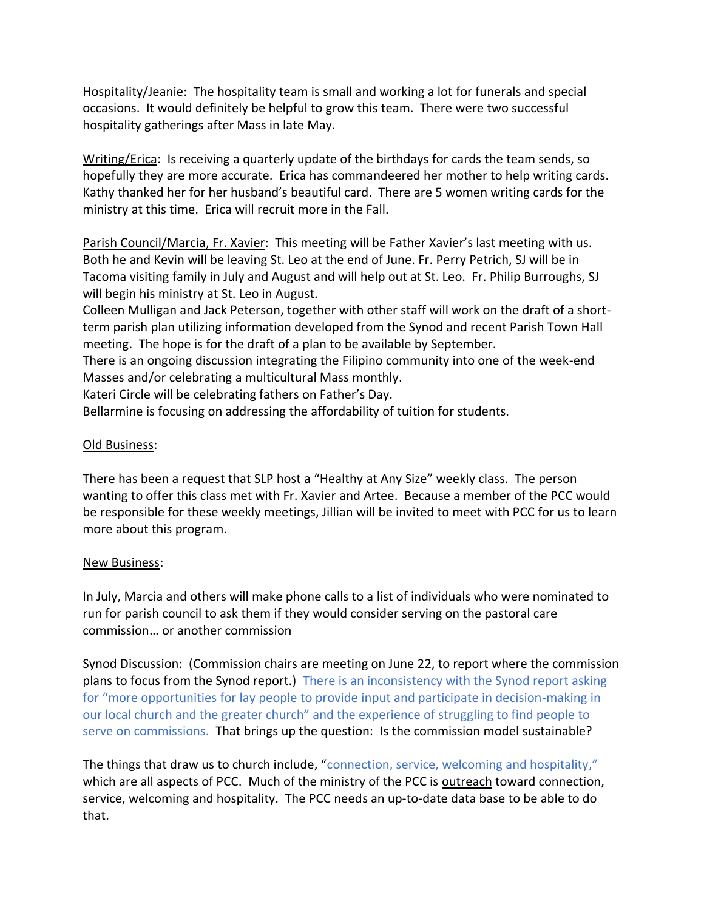Hospitality/Jeanie: The hospitality team is small and working a lot for funerals and special occasions. It would definitely be helpful to grow this team. There were two successful hospitality gatherings after Mass in late May.

Writing/Erica: Is receiving a quarterly update of the birthdays for cards the team sends, so hopefully they are more accurate. Erica has commandeered her mother to help writing cards. Kathy thanked her for her husband's beautiful card. There are 5 women writing cards for the ministry at this time. Erica will recruit more in the Fall.

Parish Council/Marcia, Fr. Xavier: This meeting will be Father Xavier's last meeting with us. Both he and Kevin will be leaving St. Leo at the end of June. Fr. Perry Petrich, SJ will be in Tacoma visiting family in July and August and will help out at St. Leo. Fr. Philip Burroughs, SJ will begin his ministry at St. Leo in August.

Colleen Mulligan and Jack Peterson, together with other staff will work on the draft of a shortterm parish plan utilizing information developed from the Synod and recent Parish Town Hall meeting. The hope is for the draft of a plan to be available by September.

There is an ongoing discussion integrating the Filipino community into one of the week-end Masses and/or celebrating a multicultural Mass monthly.

Kateri Circle will be celebrating fathers on Father's Day.

Bellarmine is focusing on addressing the affordability of tuition for students.

### Old Business:

There has been a request that SLP host a "Healthy at Any Size" weekly class. The person wanting to offer this class met with Fr. Xavier and Artee. Because a member of the PCC would be responsible for these weekly meetings, Jillian will be invited to meet with PCC for us to learn more about this program.

### New Business:

In July, Marcia and others will make phone calls to a list of individuals who were nominated to run for parish council to ask them if they would consider serving on the pastoral care commission… or another commission

Synod Discussion: (Commission chairs are meeting on June 22, to report where the commission plans to focus from the Synod report.) There is an inconsistency with the Synod report asking for "more opportunities for lay people to provide input and participate in decision-making in our local church and the greater church" and the experience of struggling to find people to serve on commissions. That brings up the question: Is the commission model sustainable?

The things that draw us to church include, "connection, service, welcoming and hospitality," which are all aspects of PCC. Much of the ministry of the PCC is outreach toward connection, service, welcoming and hospitality. The PCC needs an up-to-date data base to be able to do that.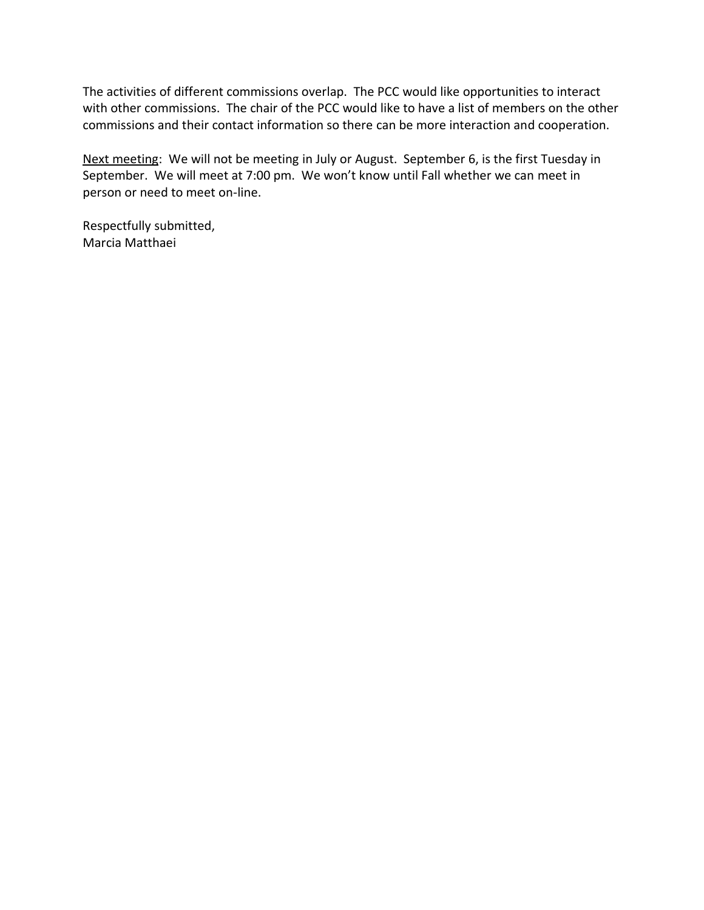The activities of different commissions overlap. The PCC would like opportunities to interact with other commissions. The chair of the PCC would like to have a list of members on the other commissions and their contact information so there can be more interaction and cooperation.

Next meeting: We will not be meeting in July or August. September 6, is the first Tuesday in September. We will meet at 7:00 pm. We won't know until Fall whether we can meet in person or need to meet on-line.

Respectfully submitted, Marcia Matthaei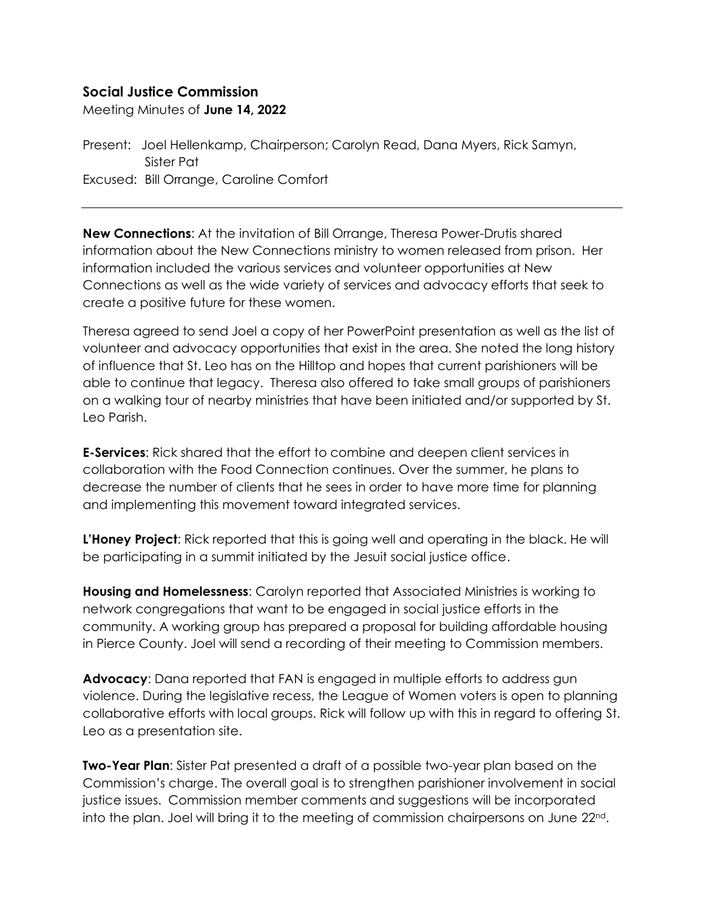## **Social Justice Commission**

Meeting Minutes of **June 14, 2022**

Present: Joel Hellenkamp, Chairperson; Carolyn Read, Dana Myers, Rick Samyn, Sister Pat Excused: Bill Orrange, Caroline Comfort

**New Connections**: At the invitation of Bill Orrange, Theresa Power-Drutis shared information about the New Connections ministry to women released from prison. Her information included the various services and volunteer opportunities at New Connections as well as the wide variety of services and advocacy efforts that seek to create a positive future for these women.

Theresa agreed to send Joel a copy of her PowerPoint presentation as well as the list of volunteer and advocacy opportunities that exist in the area. She noted the long history of influence that St. Leo has on the Hilltop and hopes that current parishioners will be able to continue that legacy. Theresa also offered to take small groups of parishioners on a walking tour of nearby ministries that have been initiated and/or supported by St. Leo Parish.

**E-Services**: Rick shared that the effort to combine and deepen client services in collaboration with the Food Connection continues. Over the summer, he plans to decrease the number of clients that he sees in order to have more time for planning and implementing this movement toward integrated services.

**L'Honey Project**: Rick reported that this is going well and operating in the black. He will be participating in a summit initiated by the Jesuit social justice office.

**Housing and Homelessness**: Carolyn reported that Associated Ministries is working to network congregations that want to be engaged in social justice efforts in the community. A working group has prepared a proposal for building affordable housing in Pierce County. Joel will send a recording of their meeting to Commission members.

**Advocacy**: Dana reported that FAN is engaged in multiple efforts to address gun violence. During the legislative recess, the League of Women voters is open to planning collaborative efforts with local groups. Rick will follow up with this in regard to offering St. Leo as a presentation site.

**Two-Year Plan**: Sister Pat presented a draft of a possible two-year plan based on the Commission's charge. The overall goal is to strengthen parishioner involvement in social justice issues. Commission member comments and suggestions will be incorporated into the plan. Joel will bring it to the meeting of commission chairpersons on June  $22^{\text{nd}}$ .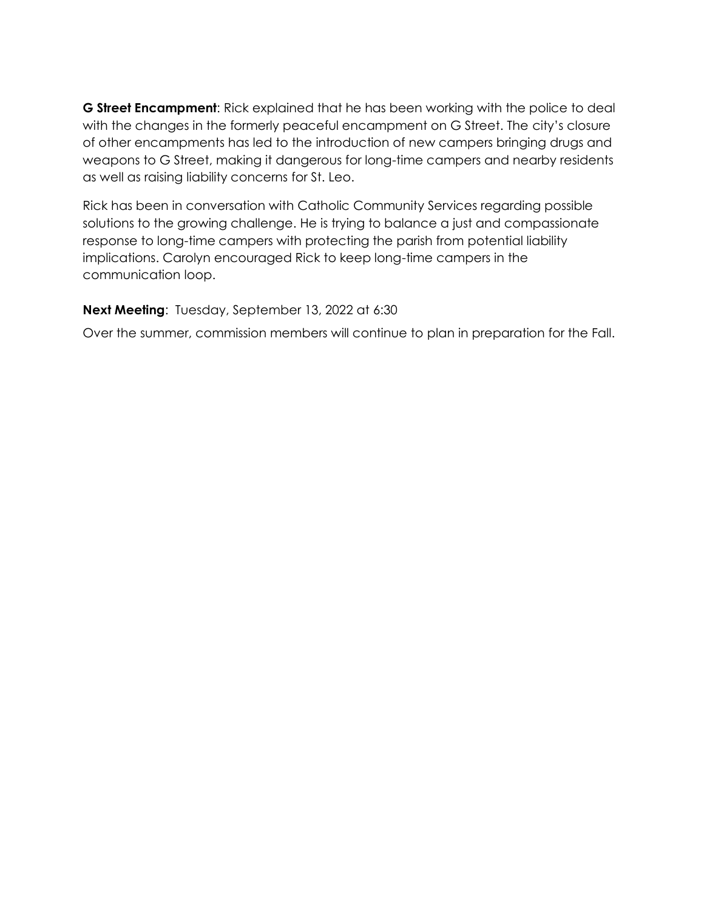**G Street Encampment**: Rick explained that he has been working with the police to deal with the changes in the formerly peaceful encampment on G Street. The city's closure of other encampments has led to the introduction of new campers bringing drugs and weapons to G Street, making it dangerous for long-time campers and nearby residents as well as raising liability concerns for St. Leo.

Rick has been in conversation with Catholic Community Services regarding possible solutions to the growing challenge. He is trying to balance a just and compassionate response to long-time campers with protecting the parish from potential liability implications. Carolyn encouraged Rick to keep long-time campers in the communication loop.

#### **Next Meeting**: Tuesday, September 13, 2022 at 6:30

Over the summer, commission members will continue to plan in preparation for the Fall.